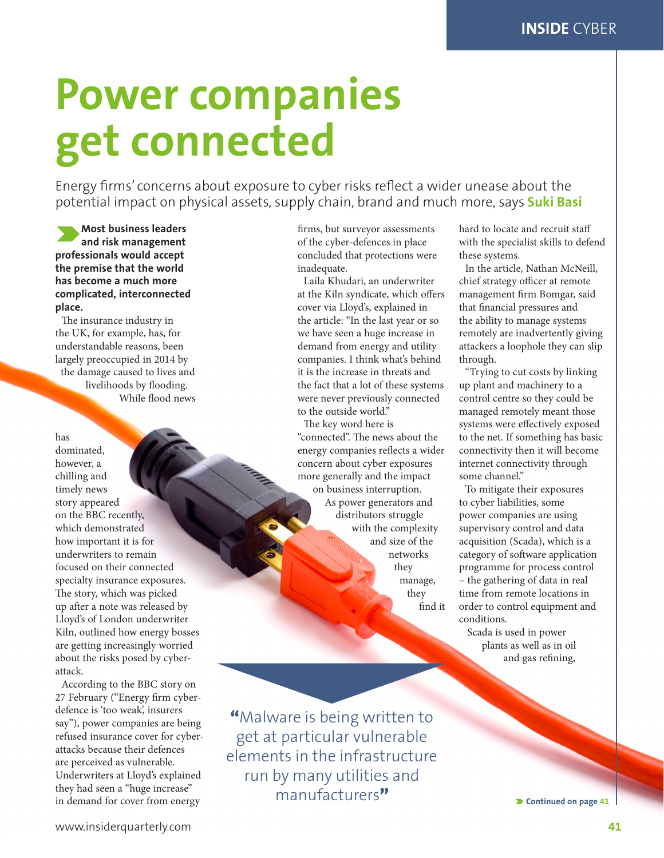## **Power companies get connected**

Energy firms' concerns about exposure to cyber risks reflect a wider unease about the potential impact on physical assets, supply chain, brand and much more, says **Suki Basi**

O**Most business leaders and risk management professionals would accept the premise that the world has become a much more complicated, interconnected place.**

The insurance industry in the UK, for example, has, for understandable reasons, been largely preoccupied in 2014 by the damage caused to lives and livelihoods by flooding. While flood news

has dominated, however, a chilling and timely news story appeared on the BBC recently, which demonstrated how important it is for underwriters to remain focused on their connected specialty insurance exposures. The story, which was picked up after a note was released by Lloyd's of London underwriter Kiln, outlined how energy bosses are getting increasingly worried about the risks posed by cyberattack.

According to the BBC story on 27 February ("Energy firm cyberdefence is 'too weak', insurers say"), power companies are being refused insurance cover for cyberattacks because their defences are perceived as vulnerable. Underwriters at Lloyd's explained they had seen a "huge increase" in demand for cover from energy

firms, but surveyor assessments of the cyber-defences in place concluded that protections were inadequate.

Laila Khudari, an underwriter at the Kiln syndicate, which offers cover via Lloyd's, explained in the article: "In the last year or so we have seen a huge increase in demand from energy and utility companies. I think what's behind it is the increase in threats and the fact that a lot of these systems were never previously connected to the outside world."

The key word here is "connected". The news about the energy companies reflects a wider concern about cyber exposures more generally and the impact on business interruption. As power generators and distributors struggle with the complexity and size of the networks they manage, they

find it

"Malware is being written to get at particular vulnerable elements in the infrastructure run by many utilities and manufacturers"

hard to locate and recruit staff with the specialist skills to defend these systems.

In the article, Nathan McNeill, chief strategy officer at remote management firm Bomgar, said that financial pressures and the ability to manage systems remotely are inadvertently giving attackers a loophole they can slip through.

"Trying to cut costs by linking up plant and machinery to a control centre so they could be managed remotely meant those systems were effectively exposed to the net. If something has basic connectivity then it will become internet connectivity through some channel."

To mitigate their exposures to cyber liabilities, some power companies are using supervisory control and data acquisition (Scada), which is a category of software application programme for process control – the gathering of data in real time from remote locations in order to control equipment and conditions.

Scada is used in power plants as well as in oil and gas refining,

O **Continued on page 41**